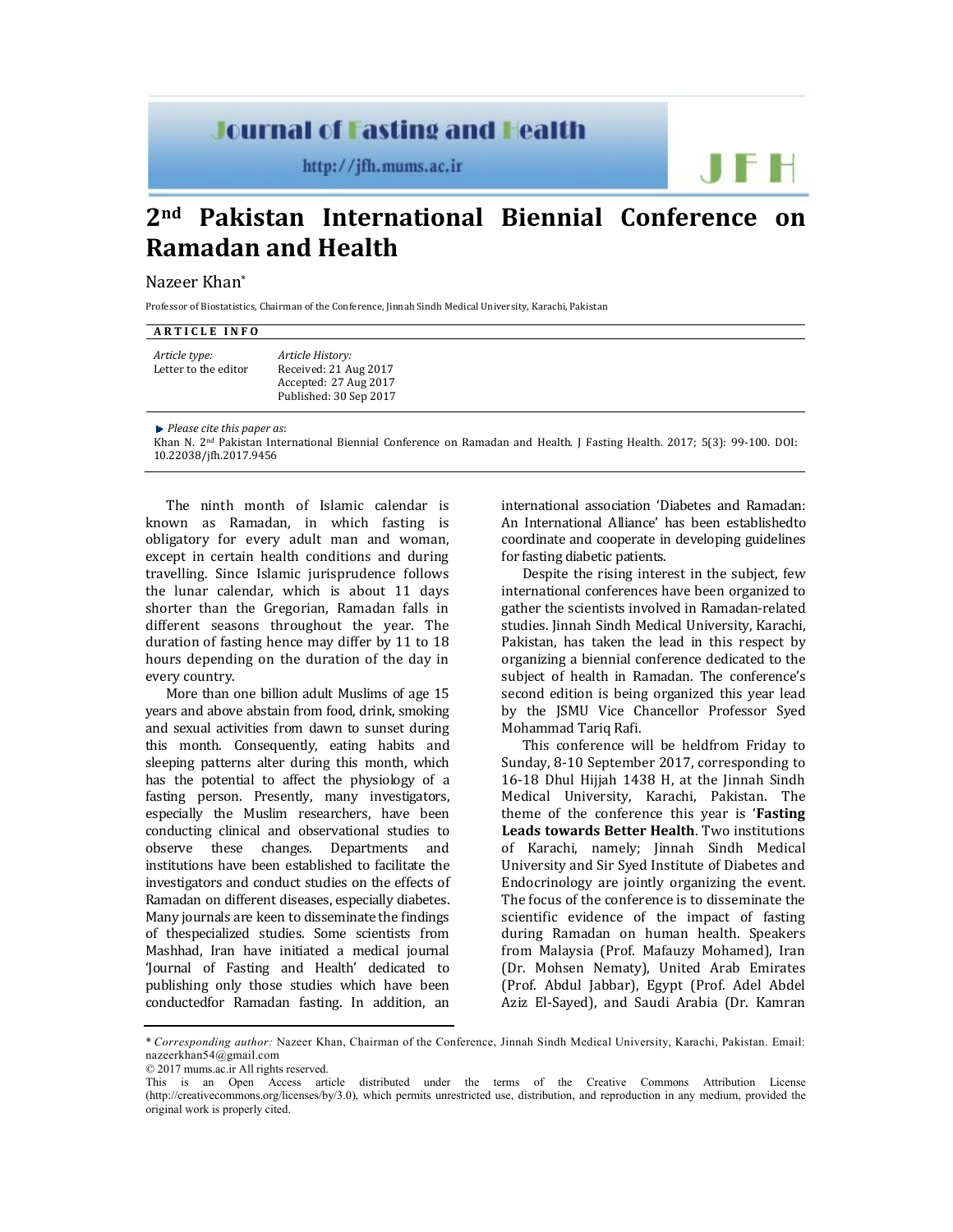## **Journal of Fasting and Health**

http://jfh.mums.ac.ir

# **2nd Pakistan International Biennial Conference on Ramadan and Health**

## Nazeer Khan\*

Professor of Biostatistics, Chairman of the Conference, Jinnah Sindh Medical University, Karachi, Pakistan

### **A R T I C L E I N F O**

*Article type:* Letter to the editor *Article History:* Received: 21 Aug 2017 Accepted: 27 Aug 2017 Published: 30 Sep 2017

*Please cite this paper as*:

Khan N. 2nd Pakistan International Biennial Conference on Ramadan and Health. J Fasting Health. 2017; 5(3): 99-100. DOI: 10.22038/jfh.2017.9456

The ninth month of Islamic calendar is known as Ramadan, in which fasting is obligatory for every adult man and woman, except in certain health conditions and during travelling. Since Islamic jurisprudence follows the lunar calendar, which is about 11 days shorter than the Gregorian, Ramadan falls in different seasons throughout the year. The duration of fasting hence may differ by 11 to 18 hours depending on the duration of the day in every country.

More than one billion adult Muslims of age 15 years and above abstain from food, drink, smoking and sexual activities from dawn to sunset during this month. Consequently, eating habits and sleeping patterns alter during this month, which has the potential to affect the physiology of a fasting person. Presently, many investigators, especially the Muslim researchers, have been conducting clinical and observational studies to observe these changes. Departments and institutions have been established to facilitate the investigators and conduct studies on the effects of Ramadan on different diseases, especially diabetes. Many journals are keen to disseminate the findings of thespecialized studies. Some scientists from Mashhad, Iran have initiated a medical journal 'Journal of Fasting and Health' dedicated to publishing only those studies which have been conductedfor Ramadan fasting. In addition, an

international association 'Diabetes and Ramadan: An International Alliance' has been establishedto coordinate and cooperate in developing guidelines for fasting diabetic patients.

JFH

Despite the rising interest in the subject, few international conferences have been organized to gather the scientists involved in Ramadan-related studies. Jinnah Sindh Medical University, Karachi, Pakistan, has taken the lead in this respect by organizing a biennial conference dedicated to the subject of health in Ramadan. The conference's second edition is being organized this year lead by the JSMU Vice Chancellor Professor Syed Mohammad Tariq Rafi.

This conference will be heldfrom Friday to Sunday, 8-10 September 2017, corresponding to 16-18 Dhul Hijjah 1438 H, at the Jinnah Sindh Medical University, Karachi, Pakistan. The theme of the conference this year is '**Fasting Leads towards Better Health**. Two institutions of Karachi, namely; Jinnah Sindh Medical University and Sir Syed Institute of Diabetes and Endocrinology are jointly organizing the event. The focus of the conference is to disseminate the scientific evidence of the impact of fasting during Ramadan on human health. Speakers from Malaysia (Prof. Mafauzy Mohamed), Iran (Dr. Mohsen Nematy), United Arab Emirates (Prof. Abdul Jabbar), Egypt (Prof. Adel Abdel Aziz El-Sayed), and Saudi Arabia (Dr. Kamran

<sup>\*</sup> *Corresponding author:* Nazeer Khan, Chairman of the Conference, Jinnah Sindh Medical University, Karachi, Pakistan. Email: nazeerkhan54@gmail.com

<sup>© 2017</sup> mums.ac.ir All rights reserved.

This is an Open Access article distributed under the terms of the Creative Commons Attribution License (http://creativecommons.org/licenses/by/3.0), which permits unrestricted use, distribution, and reproduction in any medium, provided the original work is properly cited.